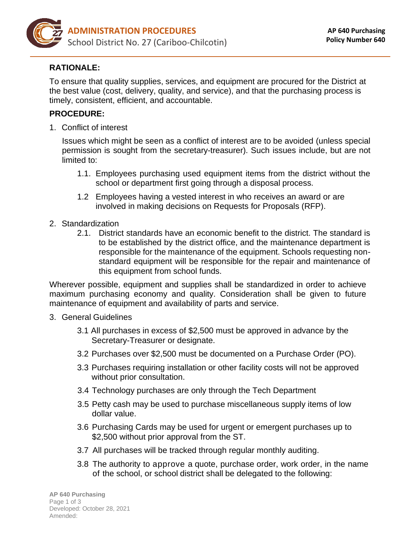

## **RATIONALE:**

To ensure that quality supplies, services, and equipment are procured for the District at the best value (cost, delivery, quality, and service), and that the purchasing process is timely, consistent, efficient, and accountable.

## **PROCEDURE:**

1. Conflict of interest

Issues which might be seen as a conflict of interest are to be avoided (unless special permission is sought from the secretary-treasurer). Such issues include, but are not limited to:

- 1.1. Employees purchasing used equipment items from the district without the school or department first going through a disposal process.
- 1.2 Employees having a vested interest in who receives an award or are involved in making decisions on Requests for Proposals (RFP).
- 2. Standardization
	- 2.1. District standards have an economic benefit to the district. The standard is to be established by the district office, and the maintenance department is responsible for the maintenance of the equipment. Schools requesting nonstandard equipment will be responsible for the repair and maintenance of this equipment from school funds.

Wherever possible, equipment and supplies shall be standardized in order to achieve maximum purchasing economy and quality. Consideration shall be given to future maintenance of equipment and availability of parts and service.

- 3. General Guidelines
	- 3.1 All purchases in excess of \$2,500 must be approved in advance by the Secretary-Treasurer or designate.
	- 3.2 Purchases over \$2,500 must be documented on a Purchase Order (PO).
	- 3.3 Purchases requiring installation or other facility costs will not be approved without prior consultation.
	- 3.4 Technology purchases are only through the Tech Department
	- 3.5 Petty cash may be used to purchase miscellaneous supply items of low dollar value.
	- 3.6 Purchasing Cards may be used for urgent or emergent purchases up to \$2,500 without prior approval from the ST.
	- 3.7 All purchases will be tracked through regular monthly auditing.
	- 3.8 The authority to approve a quote, purchase order, work order, in the name of the school, or school district shall be delegated to the following: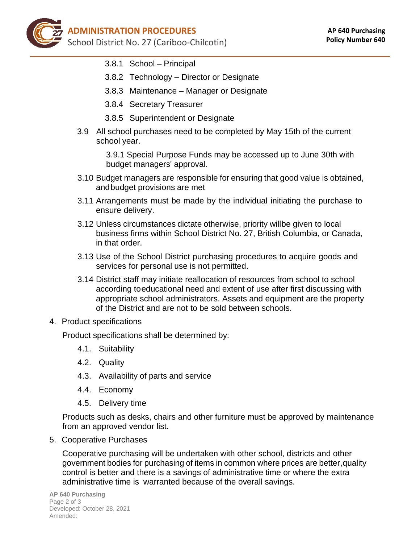- 3.8.1 School Principal
- 3.8.2 Technology Director or Designate
- 3.8.3 Maintenance Manager or Designate
- 3.8.4 Secretary Treasurer
- 3.8.5 Superintendent or Designate
- 3.9 All school purchases need to be completed by May 15th of the current school year.

3.9.1 Special Purpose Funds may be accessed up to June 30th with budget managers' approval.

- 3.10 Budget managers are responsible for ensuring that good value is obtained, and budget provisions are met
- 3.11 Arrangements must be made by the individual initiating the purchase to ensure delivery.
- 3.12 Unless circumstances dictate otherwise, priority willbe given to local business firms within School District No. 27, British Columbia, or Canada, in that order.
- 3.13 Use of the School District purchasing procedures to acquire goods and services for personal use is not permitted.
- 3.14 District staff may initiate reallocation of resources from school to school according toeducational need and extent of use after first discussing with appropriate school administrators. Assets and equipment are the property of the District and are not to be sold between schools.

## 4. Product specifications

Product specifications shall be determined by:

- 4.1. Suitability
- 4.2. Quality
- 4.3. Availability of parts and service
- 4.4. Economy
- 4.5. Delivery time

Products such as desks, chairs and other furniture must be approved by maintenance from an approved vendor list.

5. Cooperative Purchases

Cooperative purchasing will be undertaken with other school, districts and other government bodies for purchasing of items in common where prices are better,quality control is better and there is a savings of administrative time or where the extra administrative time is warranted because of the overall savings.